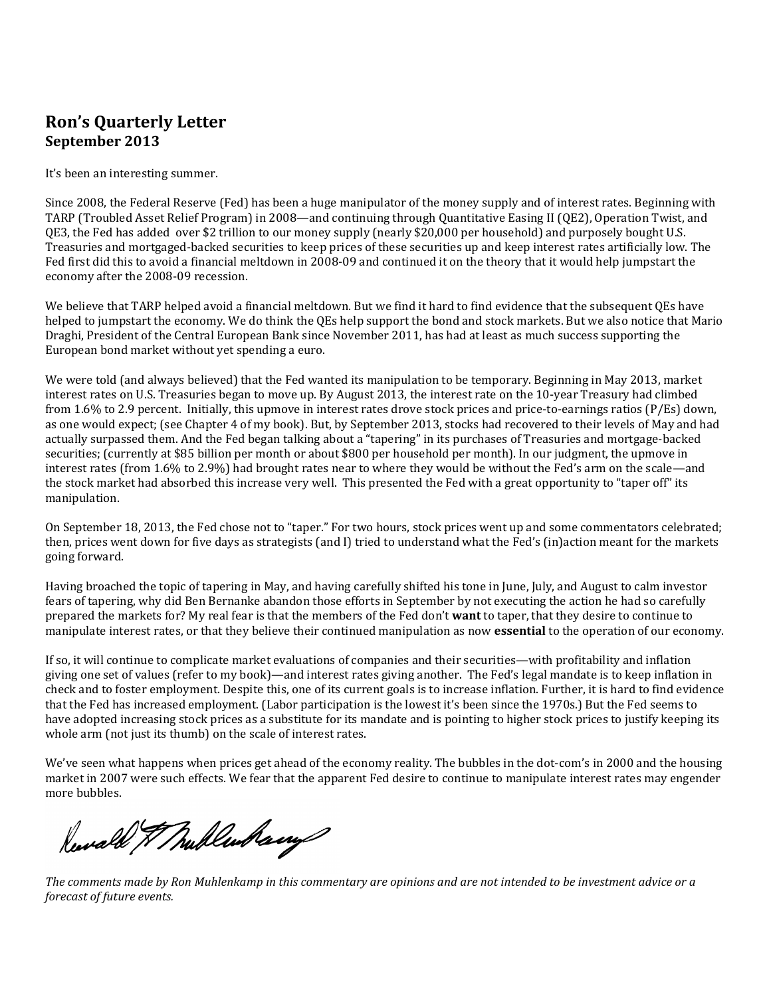## **Ron's Quarterly Letter September 2013**

It's been an interesting summer.

Since 2008, the Federal Reserve (Fed) has been a huge manipulator of the money supply and of interest rates. Beginning with TARP (Troubled Asset Relief Program) in 2008—and continuing through Quantitative Easing II (QE2), Operation Twist, and QE3, the Fed has added over \$2 trillion to our money supply (nearly \$20,000 per household) and purposely bought U.S. Treasuries and mortgaged-backed securities to keep prices of these securities up and keep interest rates artificially low. The Fed first did this to avoid a financial meltdown in 2008-09 and continued it on the theory that it would help jumpstart the economy after the 2008-09 recession.

We believe that TARP helped avoid a financial meltdown. But we find it hard to find evidence that the subsequent QEs have helped to jumpstart the economy. We do think the QEs help support the bond and stock markets. But we also notice that Mario Draghi, President of the Central European Bank since November 2011, has had at least as much success supporting the European bond market without yet spending a euro.

We were told (and always believed) that the Fed wanted its manipulation to be temporary. Beginning in May 2013, market interest rates on U.S. Treasuries began to move up. By August 2013, the interest rate on the 10-year Treasury had climbed from 1.6% to 2.9 percent. Initially, this upmove in interest rates drove stock prices and price-to-earnings ratios (P/Es) down, as one would expect; (see Chapter 4 of my book). But, by September 2013, stocks had recovered to their levels of May and had actually surpassed them. And the Fed began talking about a "tapering" in its purchases of Treasuries and mortgage-backed securities; (currently at \$85 billion per month or about \$800 per household per month). In our judgment, the upmove in interest rates (from 1.6% to 2.9%) had brought rates near to where they would be without the Fed's arm on the scale—and the stock market had absorbed this increase very well. This presented the Fed with a great opportunity to "taper off" its manipulation.

On September 18, 2013, the Fed chose not to "taper." For two hours, stock prices went up and some commentators celebrated; then, prices went down for five days as strategists (and I) tried to understand what the Fed's (in)action meant for the markets going forward.

Having broached the topic of tapering in May, and having carefully shifted his tone in June, July, and August to calm investor fears of tapering, why did Ben Bernanke abandon those efforts in September by not executing the action he had so carefully prepared the markets for? My real fear is that the members of the Fed don't **want** to taper, that they desire to continue to manipulate interest rates, or that they believe their continued manipulation as now **essential** to the operation of our economy.

If so, it will continue to complicate market evaluations of companies and their securities—with profitability and inflation giving one set of values (refer to my book)—and interest rates giving another. The Fed's legal mandate is to keep inflation in check and to foster employment. Despite this, one of its current goals is to increase inflation. Further, it is hard to find evidence that the Fed has increased employment. (Labor participation is the lowest it's been since the 1970s.) But the Fed seems to have adopted increasing stock prices as a substitute for its mandate and is pointing to higher stock prices to justify keeping its whole arm (not just its thumb) on the scale of interest rates.

We've seen what happens when prices get ahead of the economy reality. The bubbles in the dot-com's in 2000 and the housing market in 2007 were such effects. We fear that the apparent Fed desire to continue to manipulate interest rates may engender more bubbles.

Reward & Mullenbarry

*The comments made by Ron Muhlenkamp in this commentary are opinions and are not intended to be investment advice or a forecast of future events.*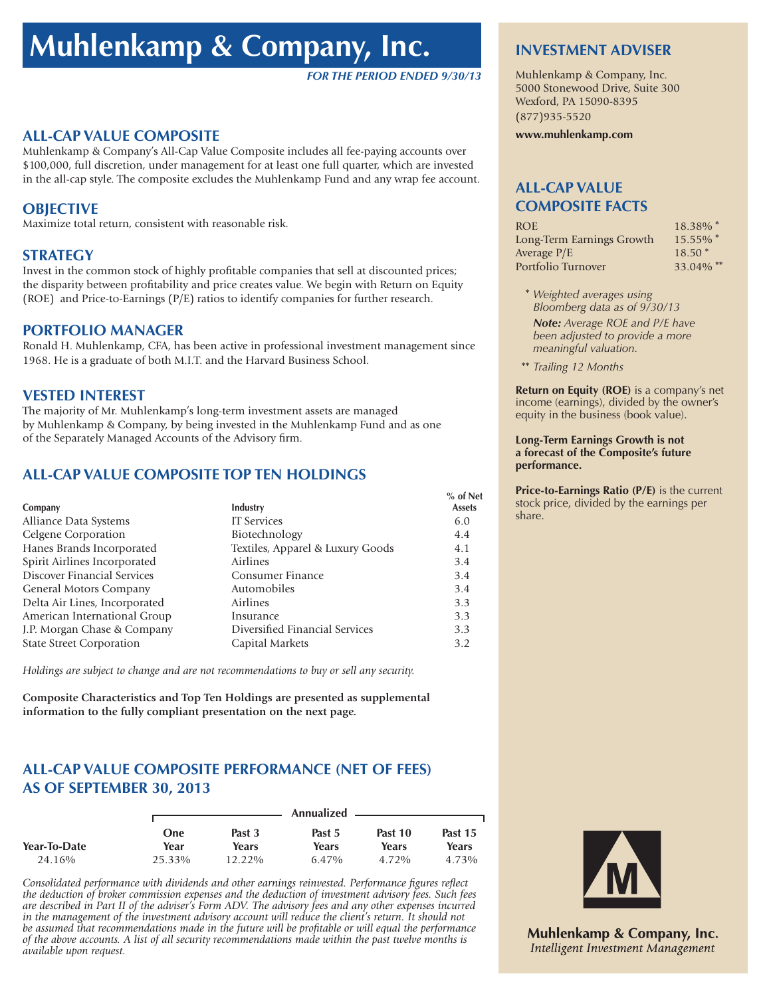# **Muhlenkamp & Company, Inc.**

#### *FOR THE PERIOD ENDED 9/30/13*

## **ALL-CAP VALUE COMPOSITE**

Muhlenkamp & Company's All-Cap Value Composite includes all fee-paying accounts over \$100,000, full discretion, under management for at least one full quarter, which are invested in the all-cap style. The composite excludes the Muhlenkamp Fund and any wrap fee account.

#### **OBJECTIVE**

Maximize total return, consistent with reasonable risk.

#### **STRATEGY**

Invest in the common stock of highly profitable companies that sell at discounted prices; the disparity between profitability and price creates value. We begin with Return on Equity (ROE) and Price-to-Earnings (P/E) ratios to identify companies for further research.

#### **PORTFOLIO MANAGER**

Ronald H. Muhlenkamp, CFA, has been active in professional investment management since 1968. He is a graduate of both M.I.T. and the Harvard Business School.

#### **VESTED INTEREST**

The majority of Mr. Muhlenkamp's long-term investment assets are managed by Muhlenkamp & Company, by being invested in the Muhlenkamp Fund and as one of the Separately Managed Accounts of the Advisory firm.

## **ALL-CAP VALUE COMPOSITE TOP TEN HOLDINGS**

| Company                         | Industry                         | $%$ of Net<br><b>Assets</b> |
|---------------------------------|----------------------------------|-----------------------------|
| Alliance Data Systems           | <b>IT Services</b>               | 6.0                         |
| Celgene Corporation             | Biotechnology                    | 4.4                         |
| Hanes Brands Incorporated       | Textiles, Apparel & Luxury Goods | 4.1                         |
| Spirit Airlines Incorporated    | Airlines                         | 3.4                         |
| Discover Financial Services     | Consumer Finance                 | 3.4                         |
| General Motors Company          | Automobiles                      | 3.4                         |
| Delta Air Lines, Incorporated   | <b>Airlines</b>                  | 3.3                         |
| American International Group    | Insurance                        | 3.3                         |
| J.P. Morgan Chase & Company     | Diversified Financial Services   | 3.3                         |
| <b>State Street Corporation</b> | Capital Markets                  | 3.2                         |

*Holdings are subject to change and are not recommendations to buy or sell any security.*

**Composite Characteristics and Top Ten Holdings are presented as supplemental information to the fully compliant presentation on the next page.**

## **ALL-CAP VALUE COMPOSITE PERFORMANCE (NET OF FEES) AS OF SEPTEMBER 30, 2013**

|              |        |           | Annualized |         |         |
|--------------|--------|-----------|------------|---------|---------|
|              | One    | Past 3    | Past 5     | Past 10 | Past 15 |
| Year-To-Date | Year   | Years     | Years      | Years   | Years   |
| 24.16%       | 25.33% | $12.22\%$ | 6.47%      | 4.72%   | 4.73%   |

*Consolidated performance with dividends and other earnings reinvested. Performance figures reflect the deduction of broker commission expenses and the deduction of investment advisory fees. Such fees are described in Part II of the adviser's Form ADV. The advisory fees and any other expenses incurred in the management of the investment advisory account will reduce the client's return. It should not be assumed that recommendations made in the future will be profitable or will equal the performance of the above accounts. A list of all security recommendations made within the past twelve months is available upon request.*

#### **INVESTMENT ADVISER**

Muhlenkamp & Company, Inc. 5000 Stonewood Drive, Suite 300 Wexford, PA 15090-8395 (877)935-5520

**www.muhlenkamp.com**

### **ALL-CAP VALUE COMPOSITE FACTS**

| 18.38% *                |
|-------------------------|
| 15.55% $*$              |
| $18.50*$                |
| $33.04\%$ <sup>**</sup> |
|                         |

- **\*** *Weighted averages using Bloomberg data as of 9/30/13 Note: Average ROE and P/E have been adjusted to provide a more meaningful valuation.*
- **\*\*** *Trailing 12 Months*

**Return on Equity (ROE)** is a company's net income (earnings), divided by the owner's equity in the business (book value).

#### **Long-Term Earnings Growth is not a forecast of the Composite's future performance.**

**Price-to-Earnings Ratio (P/E)** is the current stock price, divided by the earnings per share.



**Muhlenkamp & Company, Inc.** Intelligent Investment Management